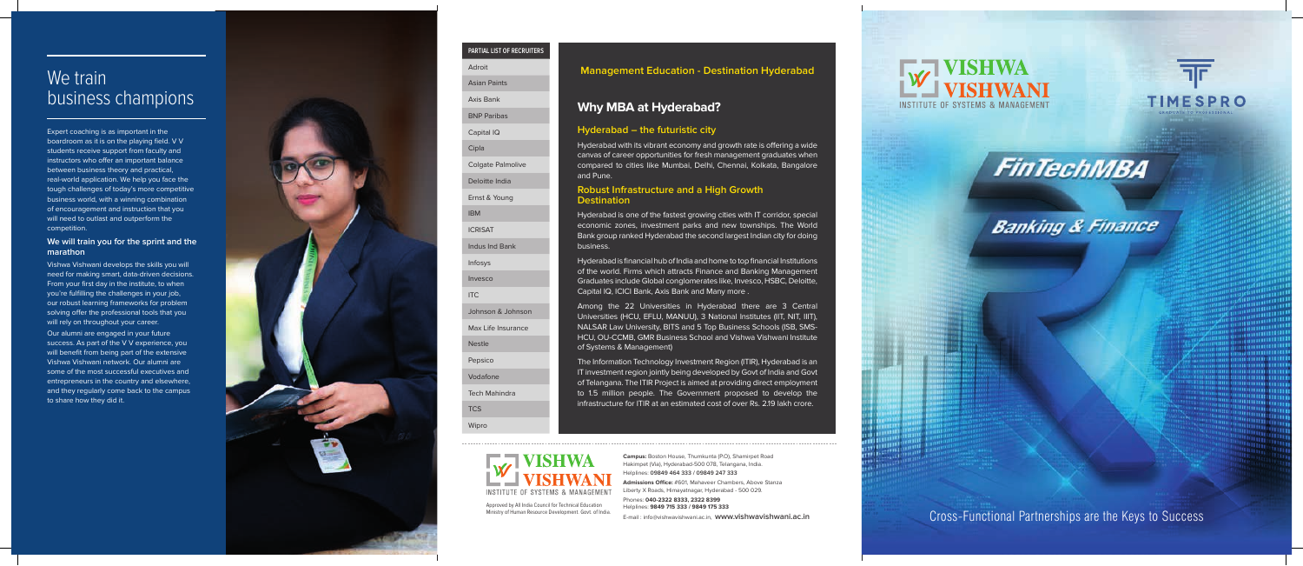Cross-Functional Partnerships are the Keys to Success

**Campus:** Boston House, Thumkunta (P.O), Shamirpet Road Hakimpet (Via), Hyderabad-500 078, Telangana, India. Helplines: **09849 464 333 / 09849 247 333**

**Admissions Office:** #601, Mahaveer Chambers, Above Stanza Liberty X Roads, Himayatnagar, Hyderabad - 500 029.

Phones: **040-2322 8333, 2322 8399** Helplines: **9849 715 333 / 9849 175 333**





**FinTechMBA** 

# **Banking & Finance**

E-mail : info@vishwavishwani.ac.in, **www.vishwavishwani.ac.in**

## We train business champions

Approved by All India Council for Technical Education Ministry of Human Resource Development. Govt. of India.

**INSTITUTE OF SYSTEMS & MANAGEMENT** 

### **PARTIAL LIST OF RECRUITERS**

| Adroit                   |
|--------------------------|
| <b>Asian Paints</b>      |
| <b>Axis Bank</b>         |
| <b>BNP Paribas</b>       |
| Capital IQ               |
| Cipla                    |
| <b>Colgate Palmolive</b> |
| Deloitte India           |
| Ernst & Young            |
| <b>IBM</b>               |
| <b>ICRISAT</b>           |
| Indus Ind Bank           |
| Infosys                  |
| Invesco                  |
| <b>ITC</b>               |
| Johnson & Johnson        |
| Max Life Insurance       |
| <b>Nestle</b>            |
| Pepsico                  |
| Vodafone                 |
| <b>Tech Mahindra</b>     |
| <b>TCS</b>               |
| Wipro                    |

Expert coaching is as important in the boardroom as it is on the playing field. V V students receive support from faculty and instructors who offer an important balance between business theory and practical, real-world application. We help you face the tough challenges of today's more competitive business world, with a winning combination of encouragement and instruction that you will need to outlast and outperform the competition.

### **We will train you for the sprint and the marathon**

Vishwa Vishwani develops the skills you will need for making smart, data-driven decisions. From your first day in the institute, to when you're fulfilling the challenges in your job, our robust learning frameworks for problem solving offer the professional tools that you will rely on throughout your career.

Our alumni are engaged in your future success. As part of the V V experience, you will benefit from being part of the extensive Vishwa Vishwani network. Our alumni are some of the most successful executives and entrepreneurs in the country and elsewhere, and they regularly come back to the campus to share how they did it.



### **Hyderabad – the futuristic city**

Hyderabad with its vibrant economy and growth rate is offering a wide canvas of career opportunities for fresh management graduates when compared to cities like Mumbai, Delhi, Chennai, Kolkata, Bangalore and Pune.

### **Robust Infrastructure and a High Growth Destination**

Hyderabad is one of the fastest growing cities with IT corridor, special economic zones, investment parks and new townships. The World Bank group ranked Hyderabad the second largest Indian city for doing business.

Hyderabad is financial hub of India and home to top financial Institutions of the world. Firms which attracts Finance and Banking Management Graduates include Global conglomerates like, Invesco, HSBC, Deloitte, Capital IQ, ICICI Bank, Axis Bank and Many more .

Among the 22 Universities in Hyderabad there are 3 Central Universities (HCU, EFLU, MANUU), 3 National Institutes (IIT, NIT, IIIT), NALSAR Law University, BITS and 5 Top Business Schools (ISB, SMS-HCU, OU-CCMB, GMR Business School and Vishwa Vishwani Institute of Systems & Management)

The Information Technology Investment Region (ITIR), Hyderabad is an IT investment region jointly being developed by Govt of India and Govt of Telangana. The ITIR Project is aimed at providing direct employment to 1.5 million people. The Government proposed to develop the infrastructure for ITIR at an estimated cost of over Rs. 2.19 lakh crore.

### **Why MBA at Hyderabad?**

### **Management Education - Destination Hyderabad**